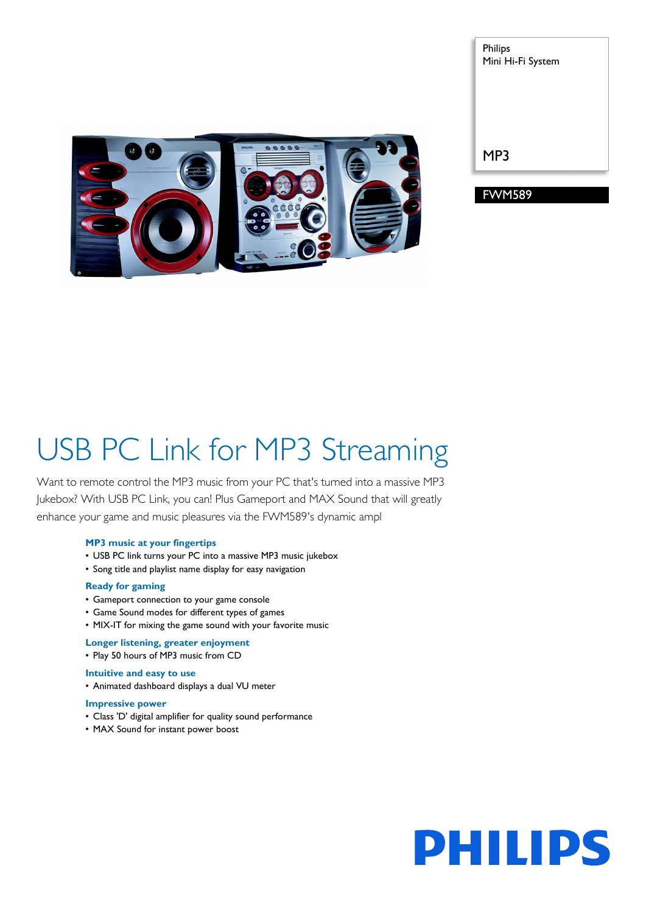#### Philips Mini Hi-Fi System

MP3

FWM589

# USB PC Link for MP3 Streaming

Want to remote control the MP3 music from your PC that's turned into a massive MP3 Jukebox? With USB PC Link, you can! Plus Gameport and MAX Sound that will greatly enhance your game and music pleasures via the FWM589's dynamic ampl

#### **MP3 music at your fingertips**

- USB PC link turns your PC into a massive MP3 music jukebox
- Song title and playlist name display for easy navigation

#### **Ready for gaming**

- Gameport connection to your game console
- Game Sound modes for different types of games
- MIX-IT for mixing the game sound with your favorite music

#### **Longer listening, greater enjoyment**

• Play 50 hours of MP3 music from CD

#### **Intuitive and easy to use**

• Animated dashboard displays a dual VU meter

#### **Impressive power**

- Class 'D' digital amplifier for quality sound performance
- MAX Sound for instant power boost